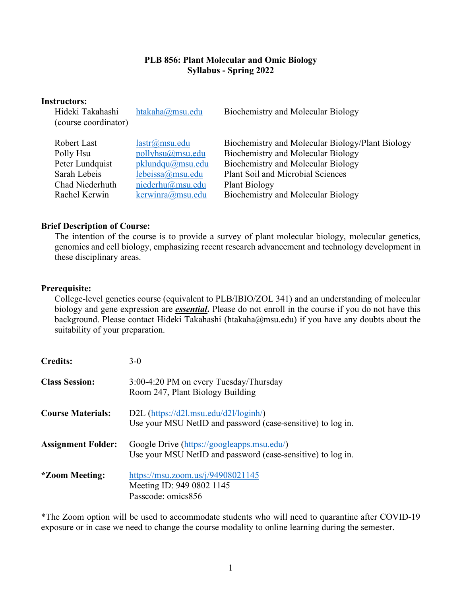# **PLB 856: Plant Molecular and Omic Biology Syllabus - Spring 2022**

| <b>Instructors:</b><br>Hideki Takahashi<br>(course coordinator) | htakaha@msu.edu    | Biochemistry and Molecular Biology               |
|-----------------------------------------------------------------|--------------------|--------------------------------------------------|
| Robert Last                                                     | $lastr(a)$ msu.edu | Biochemistry and Molecular Biology/Plant Biology |
| Polly Hsu                                                       | pollyhsu@musu.edu  | Biochemistry and Molecular Biology               |
| Peter Lundquist                                                 | pklundqu@msu.edu   | Biochemistry and Molecular Biology               |
| Sarah Lebeis                                                    | lebeissa@msu.edu   | <b>Plant Soil and Microbial Sciences</b>         |
| Chad Niederhuth                                                 | niederhu@msu.edu   | <b>Plant Biology</b>                             |
| Rachel Kerwin                                                   | kerwinra@msu.edu   | Biochemistry and Molecular Biology               |

### **Brief Description of Course:**

The intention of the course is to provide a survey of plant molecular biology, molecular genetics, genomics and cell biology, emphasizing recent research advancement and technology development in these disciplinary areas.

#### **Prerequisite:**

College-level genetics course (equivalent to PLB/IBIO/ZOL 341) and an understanding of molecular biology and gene expression are *essential***.** Please do not enroll in the course if you do not have this background. Please contact Hideki Takahashi (htakaha@msu.edu) if you have any doubts about the suitability of your preparation.

| <b>Credits:</b>           | $3-0$                                                                                                     |
|---------------------------|-----------------------------------------------------------------------------------------------------------|
| <b>Class Session:</b>     | 3:00-4:20 PM on every Tuesday/Thursday<br>Room 247, Plant Biology Building                                |
| <b>Course Materials:</b>  | D2L $(htips://d2l.msu.edu/d2l/loginh/$<br>Use your MSU NetID and password (case-sensitive) to log in.     |
| <b>Assignment Folder:</b> | Google Drive (https://googleapps.msu.edu/)<br>Use your MSU NetID and password (case-sensitive) to log in. |
| <i>*Zoom Meeting:</i>     | https://msu.zoom.us/j/94908021145<br>Meeting ID: 949 0802 1145<br>Passcode: omics856                      |

\*The Zoom option will be used to accommodate students who will need to quarantine after COVID-19 exposure or in case we need to change the course modality to online learning during the semester.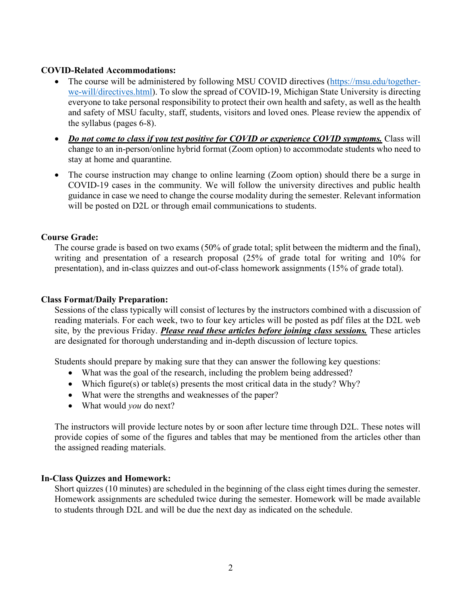### **COVID-Related Accommodations:**

- The course will be administered by following MSU COVID directives (https://msu.edu/togetherwe-will/directives.html). To slow the spread of COVID-19, Michigan State University is directing everyone to take personal responsibility to protect their own health and safety, as well as the health and safety of MSU faculty, staff, students, visitors and loved ones. Please review the appendix of the syllabus (pages 6-8).
- *Do not come to class if you test positive for COVID or experience COVID symptoms.* Class will change to an in-person/online hybrid format (Zoom option) to accommodate students who need to stay at home and quarantine.
- The course instruction may change to online learning (Zoom option) should there be a surge in COVID-19 cases in the community. We will follow the university directives and public health guidance in case we need to change the course modality during the semester. Relevant information will be posted on D2L or through email communications to students.

### **Course Grade:**

The course grade is based on two exams (50% of grade total; split between the midterm and the final), writing and presentation of a research proposal (25% of grade total for writing and 10% for presentation), and in-class quizzes and out-of-class homework assignments (15% of grade total).

### **Class Format/Daily Preparation:**

Sessions of the class typically will consist of lectures by the instructors combined with a discussion of reading materials. For each week, two to four key articles will be posted as pdf files at the D2L web site, by the previous Friday. *Please read these articles before joining class sessions.* These articles are designated for thorough understanding and in-depth discussion of lecture topics.

Students should prepare by making sure that they can answer the following key questions:

- What was the goal of the research, including the problem being addressed?
- Which figure(s) or table(s) presents the most critical data in the study? Why?
- What were the strengths and weaknesses of the paper?
- What would *you* do next?

The instructors will provide lecture notes by or soon after lecture time through D2L. These notes will provide copies of some of the figures and tables that may be mentioned from the articles other than the assigned reading materials.

### **In-Class Quizzes and Homework:**

Short quizzes (10 minutes) are scheduled in the beginning of the class eight times during the semester. Homework assignments are scheduled twice during the semester. Homework will be made available to students through D2L and will be due the next day as indicated on the schedule.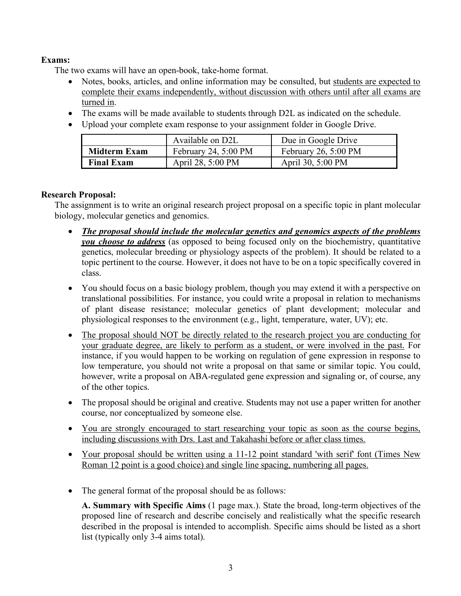# **Exams:**

The two exams will have an open-book, take-home format.

- Notes, books, articles, and online information may be consulted, but students are expected to complete their exams independently, without discussion with others until after all exams are turned in.
- The exams will be made available to students through D2L as indicated on the schedule.
- Upload your complete exam response to your assignment folder in Google Drive.

|                     | Available on D2L     | Due in Google Drive            |
|---------------------|----------------------|--------------------------------|
| <b>Midterm Exam</b> | February 24, 5:00 PM | February 26, $5:00 \text{ PM}$ |
| <b>Final Exam</b>   | April 28, 5:00 PM    | April 30, 5:00 PM              |

# **Research Proposal:**

The assignment is to write an original research project proposal on a specific topic in plant molecular biology, molecular genetics and genomics.

- *The proposal should include the molecular genetics and genomics aspects of the problems you choose to address* (as opposed to being focused only on the biochemistry, quantitative genetics, molecular breeding or physiology aspects of the problem). It should be related to a topic pertinent to the course. However, it does not have to be on a topic specifically covered in class.
- You should focus on a basic biology problem, though you may extend it with a perspective on translational possibilities. For instance, you could write a proposal in relation to mechanisms of plant disease resistance; molecular genetics of plant development; molecular and physiological responses to the environment (e.g., light, temperature, water, UV); etc.
- The proposal should NOT be directly related to the research project you are conducting for your graduate degree, are likely to perform as a student, or were involved in the past. For instance, if you would happen to be working on regulation of gene expression in response to low temperature, you should not write a proposal on that same or similar topic. You could, however, write a proposal on ABA-regulated gene expression and signaling or, of course, any of the other topics.
- The proposal should be original and creative. Students may not use a paper written for another course, nor conceptualized by someone else.
- You are strongly encouraged to start researching your topic as soon as the course begins, including discussions with Drs. Last and Takahashi before or after class times.
- Your proposal should be written using a 11-12 point standard 'with serif' font (Times New) Roman 12 point is a good choice) and single line spacing, numbering all pages.
- The general format of the proposal should be as follows:

**A. Summary with Specific Aims** (1 page max.). State the broad, long-term objectives of the proposed line of research and describe concisely and realistically what the specific research described in the proposal is intended to accomplish. Specific aims should be listed as a short list (typically only 3-4 aims total).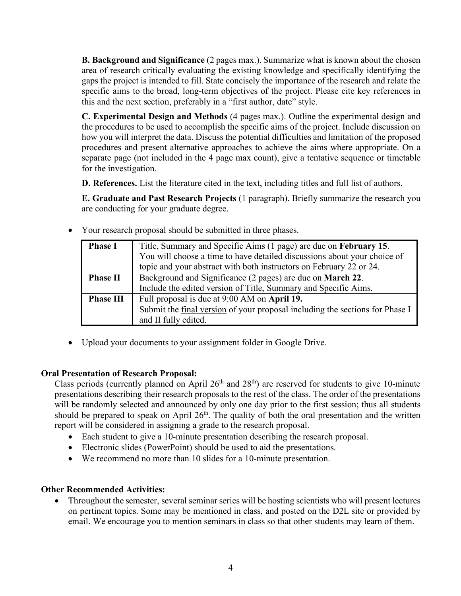**B. Background and Significance** (2 pages max.). Summarize what is known about the chosen area of research critically evaluating the existing knowledge and specifically identifying the gaps the project is intended to fill. State concisely the importance of the research and relate the specific aims to the broad, long-term objectives of the project. Please cite key references in this and the next section, preferably in a "first author, date" style.

**C. Experimental Design and Methods** (4 pages max.). Outline the experimental design and the procedures to be used to accomplish the specific aims of the project. Include discussion on how you will interpret the data. Discuss the potential difficulties and limitation of the proposed procedures and present alternative approaches to achieve the aims where appropriate. On a separate page (not included in the 4 page max count), give a tentative sequence or timetable for the investigation.

**D. References.** List the literature cited in the text, including titles and full list of authors.

**E. Graduate and Past Research Projects** (1 paragraph). Briefly summarize the research you are conducting for your graduate degree.

| <b>Phase I</b>   | Title, Summary and Specific Aims (1 page) are due on February 15.            |  |
|------------------|------------------------------------------------------------------------------|--|
|                  | You will choose a time to have detailed discussions about your choice of     |  |
|                  | topic and your abstract with both instructors on February 22 or 24.          |  |
| <b>Phase II</b>  | Background and Significance (2 pages) are due on <b>March 22</b> .           |  |
|                  | Include the edited version of Title, Summary and Specific Aims.              |  |
| <b>Phase III</b> | Full proposal is due at 9:00 AM on April 19.                                 |  |
|                  | Submit the final version of your proposal including the sections for Phase I |  |
|                  | and II fully edited.                                                         |  |

• Your research proposal should be submitted in three phases.

• Upload your documents to your assignment folder in Google Drive.

# **Oral Presentation of Research Proposal:**

Class periods (currently planned on April  $26<sup>th</sup>$  and  $28<sup>th</sup>$ ) are reserved for students to give 10-minute presentations describing their research proposals to the rest of the class. The order of the presentations will be randomly selected and announced by only one day prior to the first session; thus all students should be prepared to speak on April  $26<sup>th</sup>$ . The quality of both the oral presentation and the written report will be considered in assigning a grade to the research proposal.

- Each student to give a 10-minute presentation describing the research proposal.
- Electronic slides (PowerPoint) should be used to aid the presentations.
- We recommend no more than 10 slides for a 10-minute presentation.

# **Other Recommended Activities:**

• Throughout the semester, several seminar series will be hosting scientists who will present lectures on pertinent topics. Some may be mentioned in class, and posted on the D2L site or provided by email. We encourage you to mention seminars in class so that other students may learn of them.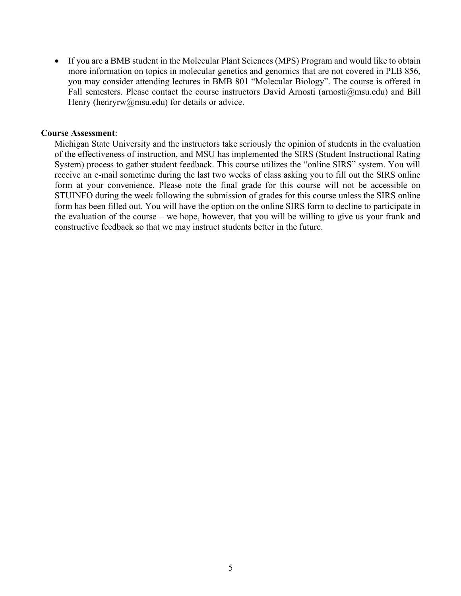• If you are a BMB student in the Molecular Plant Sciences (MPS) Program and would like to obtain more information on topics in molecular genetics and genomics that are not covered in PLB 856, you may consider attending lectures in BMB 801 "Molecular Biology". The course is offered in Fall semesters. Please contact the course instructors David Arnosti (arnosti@msu.edu) and Bill Henry (henryrw@msu.edu) for details or advice.

#### **Course Assessment**:

Michigan State University and the instructors take seriously the opinion of students in the evaluation of the effectiveness of instruction, and MSU has implemented the SIRS (Student Instructional Rating System) process to gather student feedback. This course utilizes the "online SIRS" system. You will receive an e-mail sometime during the last two weeks of class asking you to fill out the SIRS online form at your convenience. Please note the final grade for this course will not be accessible on STUINFO during the week following the submission of grades for this course unless the SIRS online form has been filled out. You will have the option on the online SIRS form to decline to participate in the evaluation of the course – we hope, however, that you will be willing to give us your frank and constructive feedback so that we may instruct students better in the future.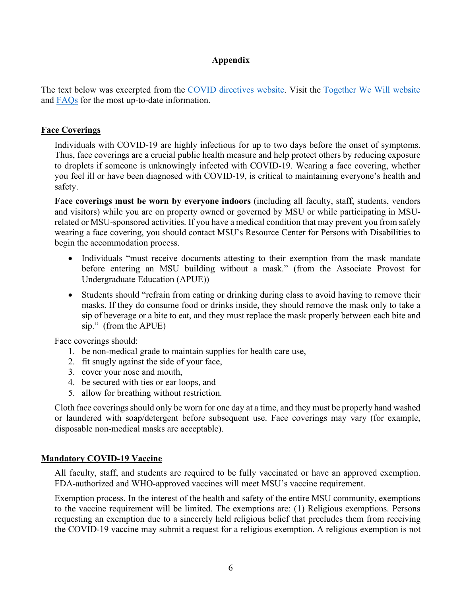# **Appendix**

The text below was excerpted from the COVID directives website. Visit the Together We Will website and FAQs for the most up-to-date information.

### **Face Coverings**

Individuals with COVID-19 are highly infectious for up to two days before the onset of symptoms. Thus, face coverings are a crucial public health measure and help protect others by reducing exposure to droplets if someone is unknowingly infected with COVID-19. Wearing a face covering, whether you feel ill or have been diagnosed with COVID-19, is critical to maintaining everyone's health and safety.

**Face coverings must be worn by everyone indoors** (including all faculty, staff, students, vendors and visitors) while you are on property owned or governed by MSU or while participating in MSUrelated or MSU-sponsored activities. If you have a medical condition that may prevent you from safely wearing a face covering, you should contact MSU's Resource Center for Persons with Disabilities to begin the accommodation process.

- Individuals "must receive documents attesting to their exemption from the mask mandate before entering an MSU building without a mask." (from the Associate Provost for Undergraduate Education (APUE))
- Students should "refrain from eating or drinking during class to avoid having to remove their masks. If they do consume food or drinks inside, they should remove the mask only to take a sip of beverage or a bite to eat, and they must replace the mask properly between each bite and sip." (from the APUE)

Face coverings should:

- 1. be non-medical grade to maintain supplies for health care use,
- 2. fit snugly against the side of your face,
- 3. cover your nose and mouth,
- 4. be secured with ties or ear loops, and
- 5. allow for breathing without restriction.

Cloth face coverings should only be worn for one day at a time, and they must be properly hand washed or laundered with soap/detergent before subsequent use. Face coverings may vary (for example, disposable non-medical masks are acceptable).

### **Mandatory COVID-19 Vaccine**

All faculty, staff, and students are required to be fully vaccinated or have an approved exemption. FDA-authorized and WHO-approved vaccines will meet MSU's vaccine requirement.

Exemption process. In the interest of the health and safety of the entire MSU community, exemptions to the vaccine requirement will be limited. The exemptions are: (1) Religious exemptions. Persons requesting an exemption due to a sincerely held religious belief that precludes them from receiving the COVID-19 vaccine may submit a request for a religious exemption. A religious exemption is not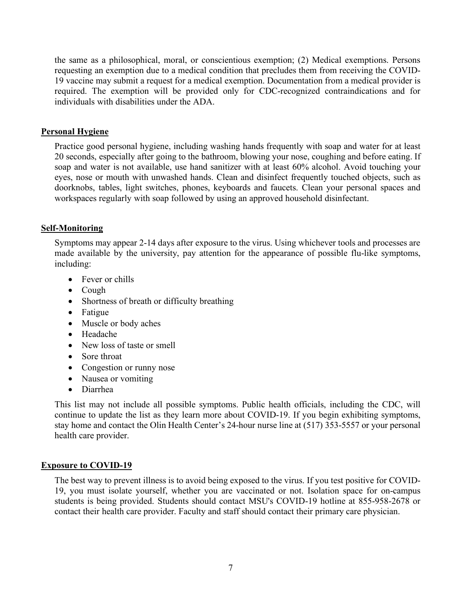the same as a philosophical, moral, or conscientious exemption; (2) Medical exemptions. Persons requesting an exemption due to a medical condition that precludes them from receiving the COVID-19 vaccine may submit a request for a medical exemption. Documentation from a medical provider is required. The exemption will be provided only for CDC-recognized contraindications and for individuals with disabilities under the ADA.

### **Personal Hygiene**

Practice good personal hygiene, including washing hands frequently with soap and water for at least 20 seconds, especially after going to the bathroom, blowing your nose, coughing and before eating. If soap and water is not available, use hand sanitizer with at least 60% alcohol. Avoid touching your eyes, nose or mouth with unwashed hands. Clean and disinfect frequently touched objects, such as doorknobs, tables, light switches, phones, keyboards and faucets. Clean your personal spaces and workspaces regularly with soap followed by using an approved household disinfectant.

### **Self-Monitoring**

Symptoms may appear 2-14 days after exposure to the virus. Using whichever tools and processes are made available by the university, pay attention for the appearance of possible flu-like symptoms, including:

- Fever or chills
- Cough
- Shortness of breath or difficulty breathing
- Fatigue
- Muscle or body aches
- Headache
- New loss of taste or smell
- Sore throat
- Congestion or runny nose
- Nausea or vomiting
- Diarrhea

This list may not include all possible symptoms. Public health officials, including the CDC, will continue to update the list as they learn more about COVID-19. If you begin exhibiting symptoms, stay home and contact the Olin Health Center's 24-hour nurse line at (517) 353-5557 or your personal health care provider.

### **Exposure to COVID-19**

The best way to prevent illness is to avoid being exposed to the virus. If you test positive for COVID-19, you must isolate yourself, whether you are vaccinated or not. Isolation space for on-campus students is being provided. Students should contact MSU's COVID-19 hotline at 855-958-2678 or contact their health care provider. Faculty and staff should contact their primary care physician.